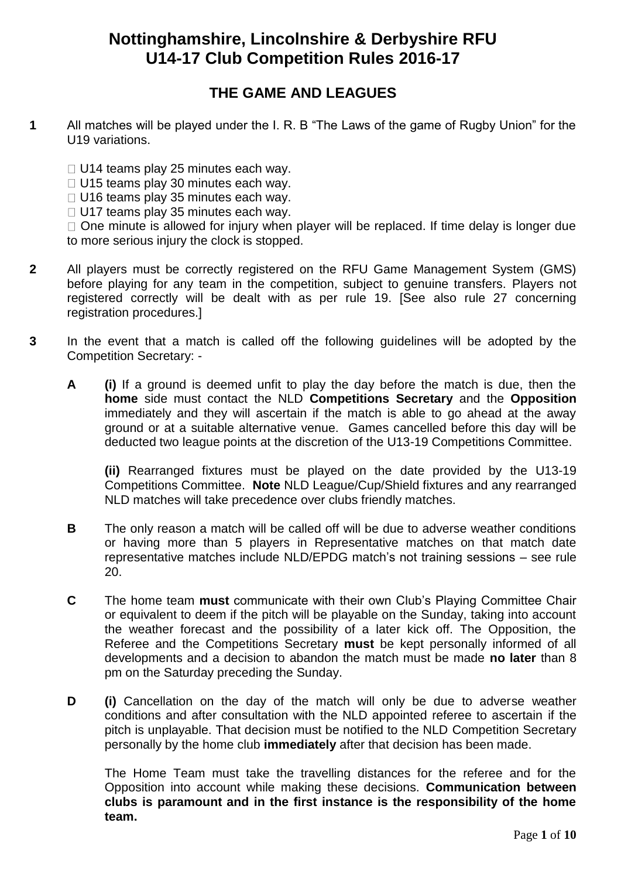# **Nottinghamshire, Lincolnshire & Derbyshire RFU U14-17 Club Competition Rules 2016-17**

## **THE GAME AND LEAGUES**

- **1** All matches will be played under the I. R. B "The Laws of the game of Rugby Union" for the U19 variations.
	- $\Box$  U14 teams play 25 minutes each way.
	- $\Box$  U15 teams play 30 minutes each way.
	- $\Box$  U16 teams play 35 minutes each way.
	- $\Box$  U17 teams play 35 minutes each way.

 $\Box$  One minute is allowed for injury when player will be replaced. If time delay is longer due to more serious injury the clock is stopped.

- **2** All players must be correctly registered on the RFU Game Management System (GMS) before playing for any team in the competition, subject to genuine transfers. Players not registered correctly will be dealt with as per rule 19. [See also rule 27 concerning registration procedures.]
- **3** In the event that a match is called off the following guidelines will be adopted by the Competition Secretary: -
	- **A (i)** If a ground is deemed unfit to play the day before the match is due, then the **home** side must contact the NLD **Competitions Secretary** and the **Opposition** immediately and they will ascertain if the match is able to go ahead at the away ground or at a suitable alternative venue. Games cancelled before this day will be deducted two league points at the discretion of the U13-19 Competitions Committee.

**(ii)** Rearranged fixtures must be played on the date provided by the U13-19 Competitions Committee. **Note** NLD League/Cup/Shield fixtures and any rearranged NLD matches will take precedence over clubs friendly matches.

- **B** The only reason a match will be called off will be due to adverse weather conditions or having more than 5 players in Representative matches on that match date representative matches include NLD/EPDG match's not training sessions – see rule 20.
- **C** The home team **must** communicate with their own Club's Playing Committee Chair or equivalent to deem if the pitch will be playable on the Sunday, taking into account the weather forecast and the possibility of a later kick off. The Opposition, the Referee and the Competitions Secretary **must** be kept personally informed of all developments and a decision to abandon the match must be made **no later** than 8 pm on the Saturday preceding the Sunday.
- **D (i)** Cancellation on the day of the match will only be due to adverse weather conditions and after consultation with the NLD appointed referee to ascertain if the pitch is unplayable. That decision must be notified to the NLD Competition Secretary personally by the home club **immediately** after that decision has been made.

The Home Team must take the travelling distances for the referee and for the Opposition into account while making these decisions. **Communication between clubs is paramount and in the first instance is the responsibility of the home team.**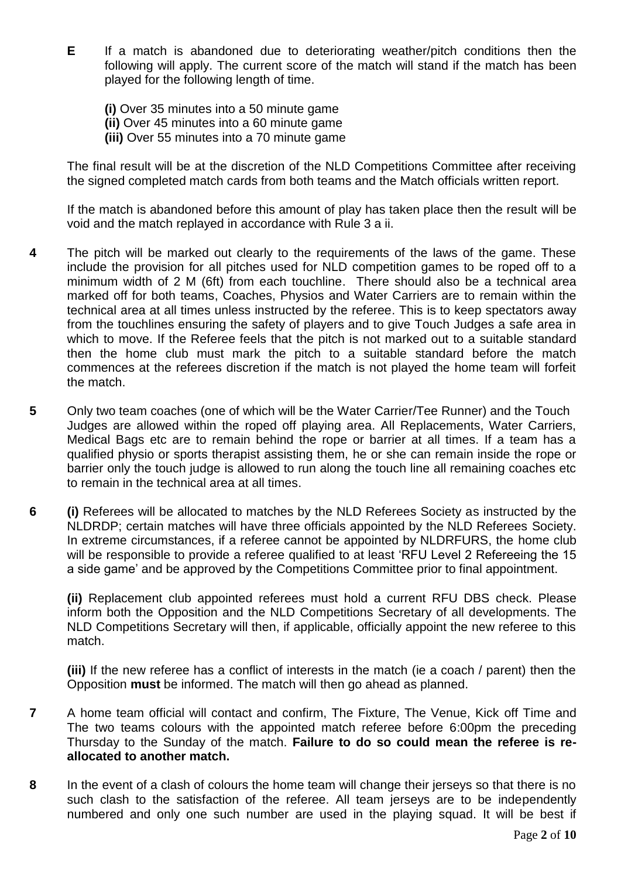**E** If a match is abandoned due to deteriorating weather/pitch conditions then the following will apply. The current score of the match will stand if the match has been played for the following length of time.

**(i)** Over 35 minutes into a 50 minute game **(ii)** Over 45 minutes into a 60 minute game **(iii)** Over 55 minutes into a 70 minute game

The final result will be at the discretion of the NLD Competitions Committee after receiving the signed completed match cards from both teams and the Match officials written report.

If the match is abandoned before this amount of play has taken place then the result will be void and the match replayed in accordance with Rule 3 a ii.

- **4** The pitch will be marked out clearly to the requirements of the laws of the game. These include the provision for all pitches used for NLD competition games to be roped off to a minimum width of 2 M (6ft) from each touchline. There should also be a technical area marked off for both teams, Coaches, Physios and Water Carriers are to remain within the technical area at all times unless instructed by the referee. This is to keep spectators away from the touchlines ensuring the safety of players and to give Touch Judges a safe area in which to move. If the Referee feels that the pitch is not marked out to a suitable standard then the home club must mark the pitch to a suitable standard before the match commences at the referees discretion if the match is not played the home team will forfeit the match.
- **5** Only two team coaches (one of which will be the Water Carrier/Tee Runner) and the Touch Judges are allowed within the roped off playing area. All Replacements, Water Carriers, Medical Bags etc are to remain behind the rope or barrier at all times. If a team has a qualified physio or sports therapist assisting them, he or she can remain inside the rope or barrier only the touch judge is allowed to run along the touch line all remaining coaches etc to remain in the technical area at all times.
- **6 (i)** Referees will be allocated to matches by the NLD Referees Society as instructed by the NLDRDP; certain matches will have three officials appointed by the NLD Referees Society. In extreme circumstances, if a referee cannot be appointed by NLDRFURS, the home club will be responsible to provide a referee qualified to at least 'RFU Level 2 Refereeing the 15 a side game' and be approved by the Competitions Committee prior to final appointment.

**(ii)** Replacement club appointed referees must hold a current RFU DBS check. Please inform both the Opposition and the NLD Competitions Secretary of all developments. The NLD Competitions Secretary will then, if applicable, officially appoint the new referee to this match.

**(iii)** If the new referee has a conflict of interests in the match (ie a coach / parent) then the Opposition **must** be informed. The match will then go ahead as planned.

- **7** A home team official will contact and confirm, The Fixture, The Venue, Kick off Time and The two teams colours with the appointed match referee before 6:00pm the preceding Thursday to the Sunday of the match. **Failure to do so could mean the referee is reallocated to another match.**
- **8** In the event of a clash of colours the home team will change their jerseys so that there is no such clash to the satisfaction of the referee. All team jerseys are to be independently numbered and only one such number are used in the playing squad. It will be best if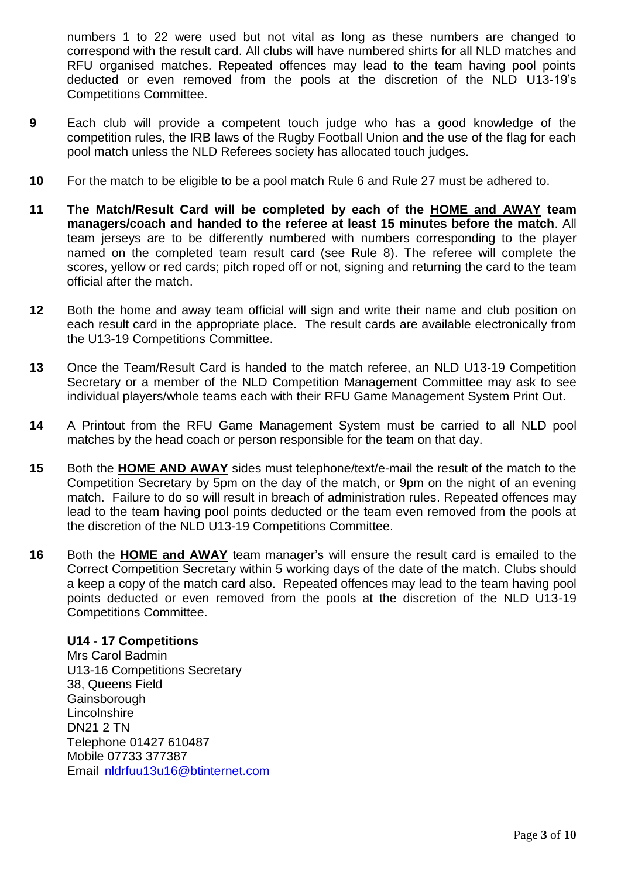numbers 1 to 22 were used but not vital as long as these numbers are changed to correspond with the result card. All clubs will have numbered shirts for all NLD matches and RFU organised matches. Repeated offences may lead to the team having pool points deducted or even removed from the pools at the discretion of the NLD U13-19's Competitions Committee.

- **9** Each club will provide a competent touch judge who has a good knowledge of the competition rules, the IRB laws of the Rugby Football Union and the use of the flag for each pool match unless the NLD Referees society has allocated touch judges.
- **10** For the match to be eligible to be a pool match Rule 6 and Rule 27 must be adhered to.
- **11 The Match/Result Card will be completed by each of the HOME and AWAY team managers/coach and handed to the referee at least 15 minutes before the match**. All team jerseys are to be differently numbered with numbers corresponding to the player named on the completed team result card (see Rule 8). The referee will complete the scores, yellow or red cards; pitch roped off or not, signing and returning the card to the team official after the match.
- **12** Both the home and away team official will sign and write their name and club position on each result card in the appropriate place. The result cards are available electronically from the U13-19 Competitions Committee.
- **13** Once the Team/Result Card is handed to the match referee, an NLD U13-19 Competition Secretary or a member of the NLD Competition Management Committee may ask to see individual players/whole teams each with their RFU Game Management System Print Out.
- **14** A Printout from the RFU Game Management System must be carried to all NLD pool matches by the head coach or person responsible for the team on that day.
- **15** Both the **HOME AND AWAY** sides must telephone/text/e-mail the result of the match to the Competition Secretary by 5pm on the day of the match, or 9pm on the night of an evening match. Failure to do so will result in breach of administration rules. Repeated offences may lead to the team having pool points deducted or the team even removed from the pools at the discretion of the NLD U13-19 Competitions Committee.
- **16** Both the **HOME and AWAY** team manager's will ensure the result card is emailed to the Correct Competition Secretary within 5 working days of the date of the match. Clubs should a keep a copy of the match card also. Repeated offences may lead to the team having pool points deducted or even removed from the pools at the discretion of the NLD U13-19 Competitions Committee.

#### **U14 - 17 Competitions**

Mrs Carol Badmin U13-16 Competitions Secretary 38, Queens Field **Gainsborough Lincolnshire** DN21 2 TN Telephone 01427 610487 Mobile 07733 377387 Email [nldrfuu13u16@btinternet.com](mailto:nldrfuu13u16@btinternet.com)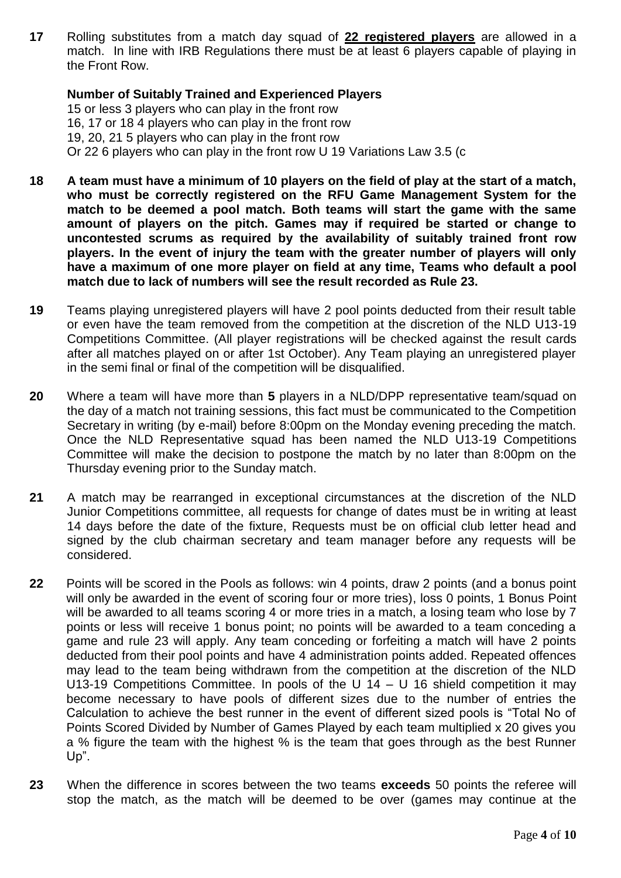**17** Rolling substitutes from a match day squad of **22 registered players** are allowed in a match. In line with IRB Regulations there must be at least 6 players capable of playing in the Front Row.

#### **Number of Suitably Trained and Experienced Players**

15 or less 3 players who can play in the front row 16, 17 or 18 4 players who can play in the front row 19, 20, 21 5 players who can play in the front row Or 22 6 players who can play in the front row U 19 Variations Law 3.5 (c

- **18 A team must have a minimum of 10 players on the field of play at the start of a match, who must be correctly registered on the RFU Game Management System for the match to be deemed a pool match. Both teams will start the game with the same amount of players on the pitch. Games may if required be started or change to uncontested scrums as required by the availability of suitably trained front row players. In the event of injury the team with the greater number of players will only have a maximum of one more player on field at any time, Teams who default a pool match due to lack of numbers will see the result recorded as Rule 23.**
- **19** Teams playing unregistered players will have 2 pool points deducted from their result table or even have the team removed from the competition at the discretion of the NLD U13-19 Competitions Committee. (All player registrations will be checked against the result cards after all matches played on or after 1st October). Any Team playing an unregistered player in the semi final or final of the competition will be disqualified.
- **20** Where a team will have more than **5** players in a NLD/DPP representative team/squad on the day of a match not training sessions, this fact must be communicated to the Competition Secretary in writing (by e-mail) before 8:00pm on the Monday evening preceding the match. Once the NLD Representative squad has been named the NLD U13-19 Competitions Committee will make the decision to postpone the match by no later than 8:00pm on the Thursday evening prior to the Sunday match.
- **21** A match may be rearranged in exceptional circumstances at the discretion of the NLD Junior Competitions committee, all requests for change of dates must be in writing at least 14 days before the date of the fixture, Requests must be on official club letter head and signed by the club chairman secretary and team manager before any requests will be considered.
- **22** Points will be scored in the Pools as follows: win 4 points, draw 2 points (and a bonus point will only be awarded in the event of scoring four or more tries), loss 0 points, 1 Bonus Point will be awarded to all teams scoring 4 or more tries in a match, a losing team who lose by 7 points or less will receive 1 bonus point; no points will be awarded to a team conceding a game and rule 23 will apply. Any team conceding or forfeiting a match will have 2 points deducted from their pool points and have 4 administration points added. Repeated offences may lead to the team being withdrawn from the competition at the discretion of the NLD U13-19 Competitions Committee. In pools of the U 14 – U 16 shield competition it may become necessary to have pools of different sizes due to the number of entries the Calculation to achieve the best runner in the event of different sized pools is "Total No of Points Scored Divided by Number of Games Played by each team multiplied x 20 gives you a % figure the team with the highest % is the team that goes through as the best Runner Up".
- **23** When the difference in scores between the two teams **exceeds** 50 points the referee will stop the match, as the match will be deemed to be over (games may continue at the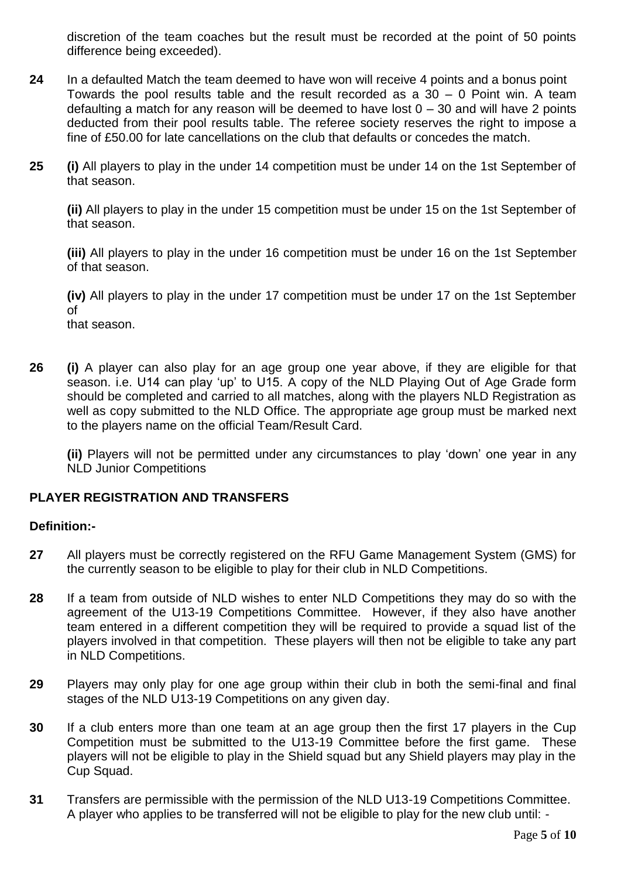discretion of the team coaches but the result must be recorded at the point of 50 points difference being exceeded).

- **24** In a defaulted Match the team deemed to have won will receive 4 points and a bonus point Towards the pool results table and the result recorded as a 30 – 0 Point win. A team defaulting a match for any reason will be deemed to have lost  $0 - 30$  and will have 2 points deducted from their pool results table. The referee society reserves the right to impose a fine of £50.00 for late cancellations on the club that defaults or concedes the match.
- **25 (i)** All players to play in the under 14 competition must be under 14 on the 1st September of that season.

**(ii)** All players to play in the under 15 competition must be under 15 on the 1st September of that season.

**(iii)** All players to play in the under 16 competition must be under 16 on the 1st September of that season.

**(iv)** All players to play in the under 17 competition must be under 17 on the 1st September of that season.

**26 (i)** A player can also play for an age group one year above, if they are eligible for that season. i.e. U14 can play 'up' to U15. A copy of the NLD Playing Out of Age Grade form should be completed and carried to all matches, along with the players NLD Registration as well as copy submitted to the NLD Office. The appropriate age group must be marked next to the players name on the official Team/Result Card.

**(ii)** Players will not be permitted under any circumstances to play 'down' one year in any NLD Junior Competitions

#### **PLAYER REGISTRATION AND TRANSFERS**

#### **Definition:-**

- **27** All players must be correctly registered on the RFU Game Management System (GMS) for the currently season to be eligible to play for their club in NLD Competitions.
- **28** If a team from outside of NLD wishes to enter NLD Competitions they may do so with the agreement of the U13-19 Competitions Committee. However, if they also have another team entered in a different competition they will be required to provide a squad list of the players involved in that competition. These players will then not be eligible to take any part in NLD Competitions.
- **29** Players may only play for one age group within their club in both the semi-final and final stages of the NLD U13-19 Competitions on any given day.
- **30** If a club enters more than one team at an age group then the first 17 players in the Cup Competition must be submitted to the U13-19 Committee before the first game. These players will not be eligible to play in the Shield squad but any Shield players may play in the Cup Squad.
- **31** Transfers are permissible with the permission of the NLD U13-19 Competitions Committee. A player who applies to be transferred will not be eligible to play for the new club until: -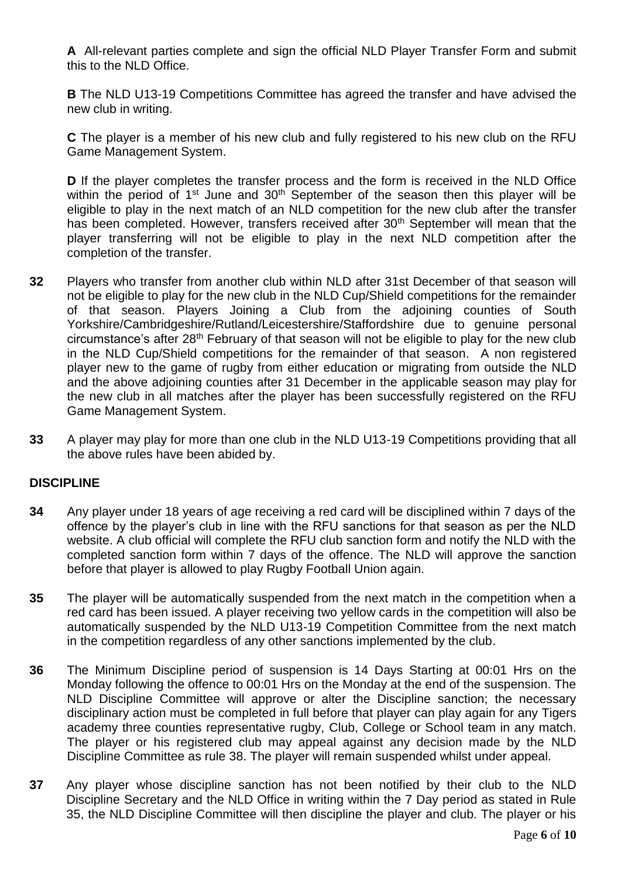**A** All-relevant parties complete and sign the official NLD Player Transfer Form and submit this to the NLD Office.

**B** The NLD U13-19 Competitions Committee has agreed the transfer and have advised the new club in writing.

**C** The player is a member of his new club and fully registered to his new club on the RFU Game Management System.

**D** If the player completes the transfer process and the form is received in the NLD Office within the period of  $1<sup>st</sup>$  June and  $30<sup>th</sup>$  September of the season then this player will be eligible to play in the next match of an NLD competition for the new club after the transfer has been completed. However, transfers received after 30<sup>th</sup> September will mean that the player transferring will not be eligible to play in the next NLD competition after the completion of the transfer.

- **32** Players who transfer from another club within NLD after 31st December of that season will not be eligible to play for the new club in the NLD Cup/Shield competitions for the remainder of that season. Players Joining a Club from the adjoining counties of South Yorkshire/Cambridgeshire/Rutland/Leicestershire/Staffordshire due to genuine personal circumstance's after 28th February of that season will not be eligible to play for the new club in the NLD Cup/Shield competitions for the remainder of that season. A non registered player new to the game of rugby from either education or migrating from outside the NLD and the above adjoining counties after 31 December in the applicable season may play for the new club in all matches after the player has been successfully registered on the RFU Game Management System.
- **33** A player may play for more than one club in the NLD U13-19 Competitions providing that all the above rules have been abided by.

#### **DISCIPLINE**

- **34** Any player under 18 years of age receiving a red card will be disciplined within 7 days of the offence by the player's club in line with the RFU sanctions for that season as per the NLD website. A club official will complete the RFU club sanction form and notify the NLD with the completed sanction form within 7 days of the offence. The NLD will approve the sanction before that player is allowed to play Rugby Football Union again.
- **35** The player will be automatically suspended from the next match in the competition when a red card has been issued. A player receiving two yellow cards in the competition will also be automatically suspended by the NLD U13-19 Competition Committee from the next match in the competition regardless of any other sanctions implemented by the club.
- **36** The Minimum Discipline period of suspension is 14 Days Starting at 00:01 Hrs on the Monday following the offence to 00:01 Hrs on the Monday at the end of the suspension. The NLD Discipline Committee will approve or alter the Discipline sanction; the necessary disciplinary action must be completed in full before that player can play again for any Tigers academy three counties representative rugby, Club, College or School team in any match. The player or his registered club may appeal against any decision made by the NLD Discipline Committee as rule 38. The player will remain suspended whilst under appeal.
- **37** Any player whose discipline sanction has not been notified by their club to the NLD Discipline Secretary and the NLD Office in writing within the 7 Day period as stated in Rule 35, the NLD Discipline Committee will then discipline the player and club. The player or his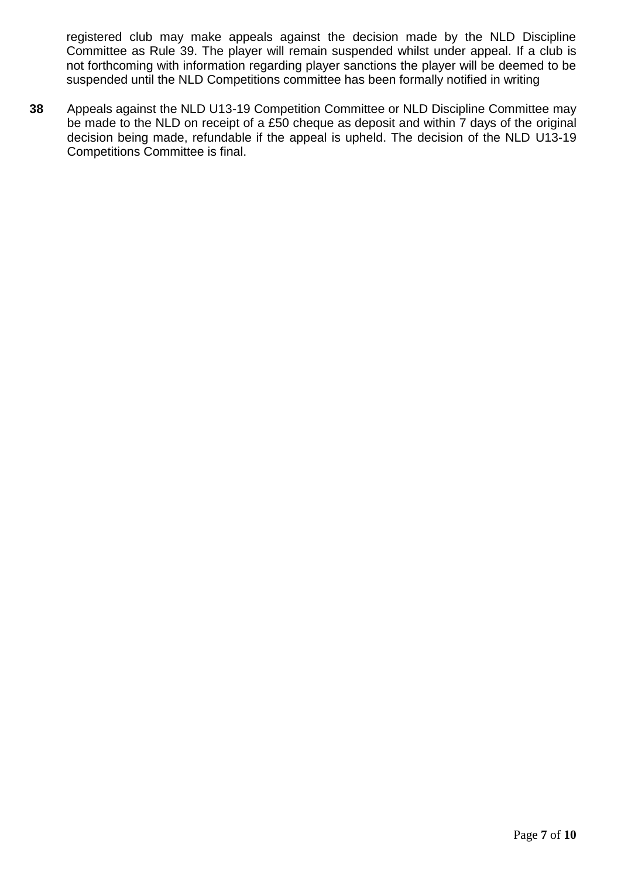registered club may make appeals against the decision made by the NLD Discipline Committee as Rule 39. The player will remain suspended whilst under appeal. If a club is not forthcoming with information regarding player sanctions the player will be deemed to be suspended until the NLD Competitions committee has been formally notified in writing

**38** Appeals against the NLD U13-19 Competition Committee or NLD Discipline Committee may be made to the NLD on receipt of a £50 cheque as deposit and within 7 days of the original decision being made, refundable if the appeal is upheld. The decision of the NLD U13-19 Competitions Committee is final.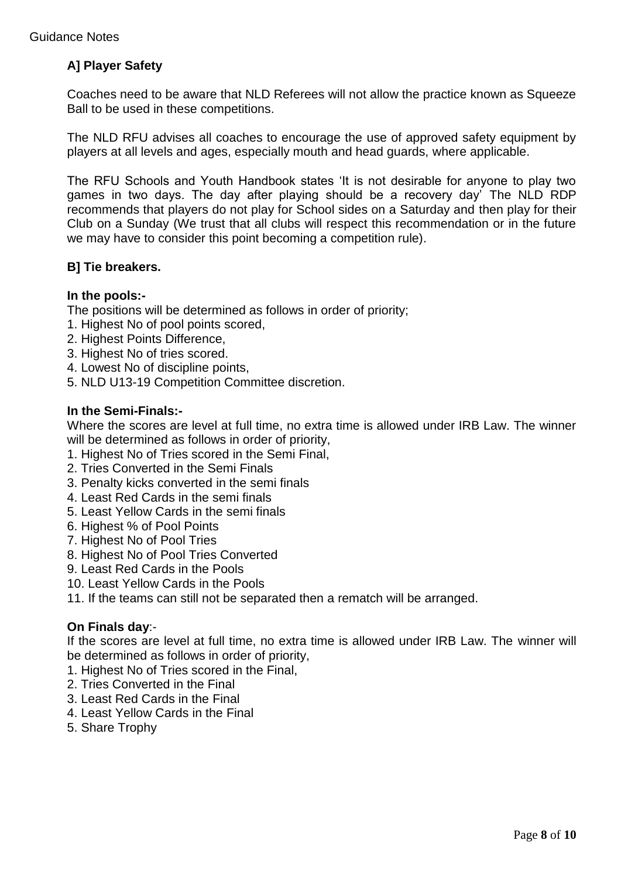### **A] Player Safety**

Coaches need to be aware that NLD Referees will not allow the practice known as Squeeze Ball to be used in these competitions.

The NLD RFU advises all coaches to encourage the use of approved safety equipment by players at all levels and ages, especially mouth and head guards, where applicable.

The RFU Schools and Youth Handbook states 'It is not desirable for anyone to play two games in two days. The day after playing should be a recovery day' The NLD RDP recommends that players do not play for School sides on a Saturday and then play for their Club on a Sunday (We trust that all clubs will respect this recommendation or in the future we may have to consider this point becoming a competition rule).

#### **B] Tie breakers.**

#### **In the pools:-**

The positions will be determined as follows in order of priority;

- 1. Highest No of pool points scored,
- 2. Highest Points Difference,
- 3. Highest No of tries scored.
- 4. Lowest No of discipline points,
- 5. NLD U13-19 Competition Committee discretion.

#### **In the Semi-Finals:-**

Where the scores are level at full time, no extra time is allowed under IRB Law. The winner will be determined as follows in order of priority,

- 1. Highest No of Tries scored in the Semi Final,
- 2. Tries Converted in the Semi Finals
- 3. Penalty kicks converted in the semi finals
- 4. Least Red Cards in the semi finals
- 5. Least Yellow Cards in the semi finals
- 6. Highest % of Pool Points
- 7. Highest No of Pool Tries
- 8. Highest No of Pool Tries Converted
- 9. Least Red Cards in the Pools
- 10. Least Yellow Cards in the Pools
- 11. If the teams can still not be separated then a rematch will be arranged.

#### **On Finals day**:-

If the scores are level at full time, no extra time is allowed under IRB Law. The winner will be determined as follows in order of priority,

- 1. Highest No of Tries scored in the Final,
- 2. Tries Converted in the Final
- 3. Least Red Cards in the Final
- 4. Least Yellow Cards in the Final
- 5. Share Trophy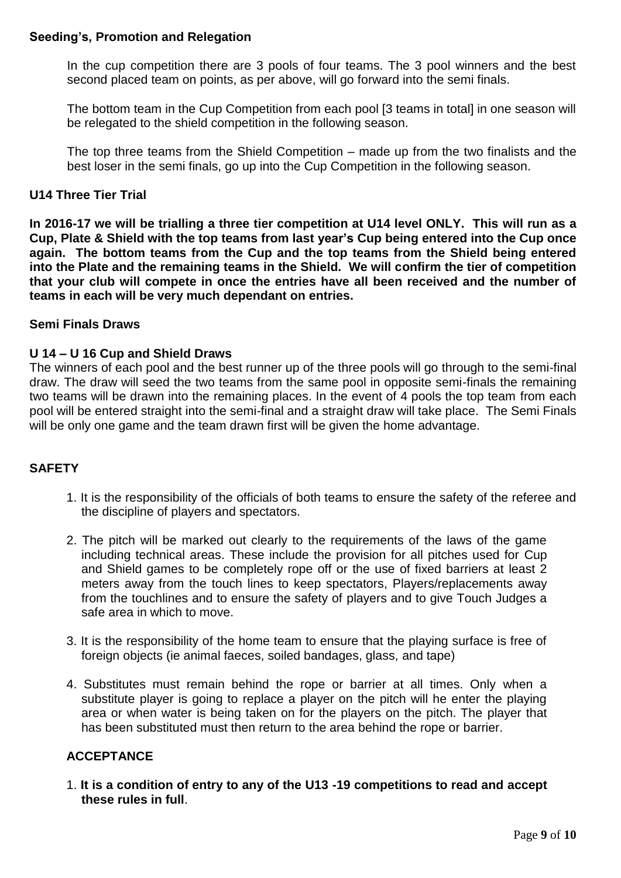#### **Seeding's, Promotion and Relegation**

In the cup competition there are 3 pools of four teams. The 3 pool winners and the best second placed team on points, as per above, will go forward into the semi finals.

The bottom team in the Cup Competition from each pool [3 teams in total] in one season will be relegated to the shield competition in the following season.

The top three teams from the Shield Competition – made up from the two finalists and the best loser in the semi finals, go up into the Cup Competition in the following season.

#### **U14 Three Tier Trial**

**In 2016-17 we will be trialling a three tier competition at U14 level ONLY. This will run as a Cup, Plate & Shield with the top teams from last year's Cup being entered into the Cup once again. The bottom teams from the Cup and the top teams from the Shield being entered into the Plate and the remaining teams in the Shield. We will confirm the tier of competition that your club will compete in once the entries have all been received and the number of teams in each will be very much dependant on entries.**

#### **Semi Finals Draws**

#### **U 14 – U 16 Cup and Shield Draws**

The winners of each pool and the best runner up of the three pools will go through to the semi-final draw. The draw will seed the two teams from the same pool in opposite semi-finals the remaining two teams will be drawn into the remaining places. In the event of 4 pools the top team from each pool will be entered straight into the semi-final and a straight draw will take place. The Semi Finals will be only one game and the team drawn first will be given the home advantage.

#### **SAFETY**

- 1. It is the responsibility of the officials of both teams to ensure the safety of the referee and the discipline of players and spectators.
- 2. The pitch will be marked out clearly to the requirements of the laws of the game including technical areas. These include the provision for all pitches used for Cup and Shield games to be completely rope off or the use of fixed barriers at least 2 meters away from the touch lines to keep spectators, Players/replacements away from the touchlines and to ensure the safety of players and to give Touch Judges a safe area in which to move.
- 3. It is the responsibility of the home team to ensure that the playing surface is free of foreign objects (ie animal faeces, soiled bandages, glass, and tape)
- 4. Substitutes must remain behind the rope or barrier at all times. Only when a substitute player is going to replace a player on the pitch will he enter the playing area or when water is being taken on for the players on the pitch. The player that has been substituted must then return to the area behind the rope or barrier.

#### **ACCEPTANCE**

1. **It is a condition of entry to any of the U13 -19 competitions to read and accept these rules in full**.